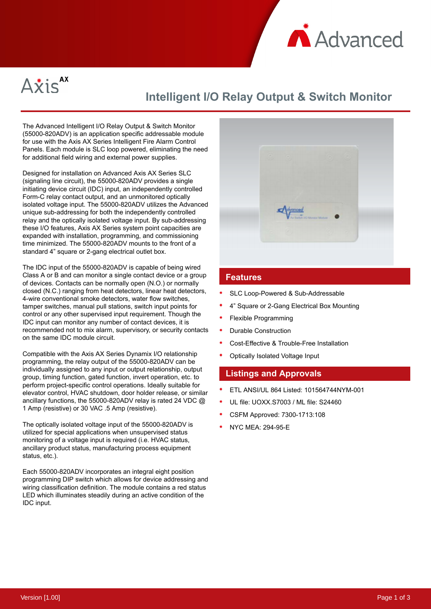



# **Intelligent I/O Relay Output & Switch Monitor**

The Advanced Intelligent I/O Relay Output & Switch Monitor (55000-820ADV) is an application specific addressable module for use with the Axis AX Series Intelligent Fire Alarm Control Panels. Each module is SLC loop powered, eliminating the need for additional field wiring and external power supplies.

Designed for installation on Advanced Axis AX Series SLC (signaling line circuit), the 55000-820ADV provides a single initiating device circuit (IDC) input, an independently controlled Form-C relay contact output, and an unmonitored optically isolated voltage input. The 55000-820ADV utilizes the Advanced unique sub-addressing for both the independently controlled relay and the optically isolated voltage input. By sub-addressing these I/O features, Axis AX Series system point capacities are expanded with installation, programming, and commissioning time minimized. The 55000-820ADV mounts to the front of a standard 4" square or 2-gang electrical outlet box.

The IDC input of the 55000-820ADV is capable of being wired Class A or B and can monitor a single contact device or a group of devices. Contacts can be normally open (N.O.) or normally closed (N.C.) ranging from heat detectors, linear heat detectors, 4-wire conventional smoke detectors, water flow switches, tamper switches, manual pull stations, switch input points for control or any other supervised input requirement. Though the IDC input can monitor any number of contact devices, it is recommended not to mix alarm, supervisory, or security contacts on the same IDC module circuit.

Compatible with the Axis AX Series Dynamix I/O relationship programming, the relay output of the 55000-820ADV can be individually assigned to any input or output relationship, output group, timing function, gated function, invert operation, etc. to perform project-specific control operations. Ideally suitable for elevator control, HVAC shutdown, door holder release, or similar ancillary functions, the 55000-820ADV relay is rated 24 VDC @ 1 Amp (resistive) or 30 VAC .5 Amp (resistive).

The optically isolated voltage input of the 55000-820ADV is utilized for special applications when unsupervised status monitoring of a voltage input is required (i.e. HVAC status, ancillary product status, manufacturing process equipment status, etc.).

Each 55000-820ADV incorporates an integral eight position programming DIP switch which allows for device addressing and wiring classification definition. The module contains a red status LED which illuminates steadily during an active condition of the IDC input.



#### **Features**

- SLC Loop-Powered & Sub-Addressable
- 4" Square or 2-Gang Electrical Box Mounting
- Flexible Programming
- Durable Construction
- Cost-Effective & Trouble-Free Installation
- Optically Isolated Voltage Input

#### **Listings and Approvals**

- ETL ANSI/UL 864 Listed: 101564744NYM-001
- UL file: UOXX.S7003 / ML file: S24460
- CSFM Approved: 7300-1713:108
- NYC MEA: 294-95-E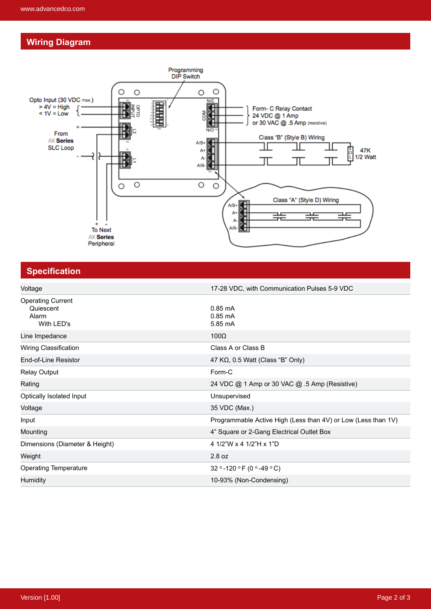## **Wiring Diagram**



## **Specification**

| Voltage                                                      | 17-28 VDC, with Communication Pulses 5-9 VDC                  |
|--------------------------------------------------------------|---------------------------------------------------------------|
| <b>Operating Current</b><br>Quiescent<br>Alarm<br>With LED's | $0.85 \text{ mA}$<br>$0.85 \text{ mA}$<br>5.85 mA             |
| Line Impedance                                               | $100\Omega$                                                   |
| Wiring Classification                                        | Class A or Class B                                            |
| End-of-Line Resistor                                         | 47 K $\Omega$ , 0.5 Watt (Class "B" Only)                     |
| Relay Output                                                 | Form-C                                                        |
| Rating                                                       | 24 VDC @ 1 Amp or 30 VAC @ .5 Amp (Resistive)                 |
| Optically Isolated Input                                     | Unsupervised                                                  |
| Voltage                                                      | 35 VDC (Max.)                                                 |
| Input                                                        | Programmable Active High (Less than 4V) or Low (Less than 1V) |
| Mounting                                                     | 4" Square or 2-Gang Electrical Outlet Box                     |
| Dimensions (Diameter & Height)                               | 4 1/2"W x 4 1/2"H x 1"D                                       |
| Weight                                                       | 2.8 oz                                                        |
| <b>Operating Temperature</b>                                 | 32 ° -120 ° F (0 ° -49 ° C)                                   |
| <b>Humidity</b>                                              | 10-93% (Non-Condensing)                                       |